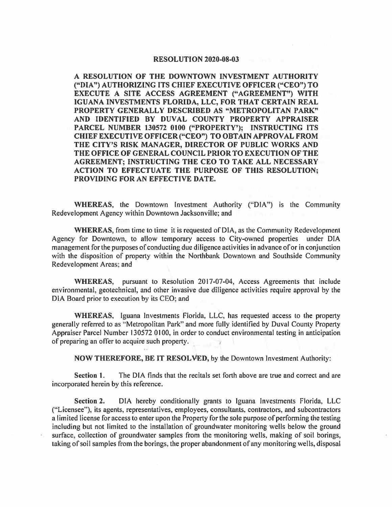## **RESOLUTION 2020-08-03**

**A RESOLUTION OF THE DOWNTOWN INVESTMENT AUTHORITY ("DIA") AUTHORIZING ITS CHIEF EXECUTIVE OFFICER ("CEO") TO EXECUTE A SITE ACCESS AGREEMENT ("AGREEMENT") WITH IGUANA INVESTMENTS FLORIDA, LLC, FOR THAT CERTAIN REAL PROPERTY GENERALLY DESCRIBED AS "METROPOLITAN PARK" AND IDENTIFIED BY DUVAL COUNTY PROPERTY APPRAISER PARCEL NUMBER 130572 0100 ("PROPERTY'); INSTRUCTING ITS CHIEF EXECUTIVE OFFICER ("CEO") TO OBTAIN APPROVAL FROM THE CITY'S RISK MANAGER, DIRECTOR OF PUBLIC WORKS AND THE OFFICE OF GENERAL COUNCIL PRIOR TO EXECUTION OF THE AGREEMENT; INSTRUCTING THE CEO TO TAKE ALL NECESSARY ACTION TO EFFECTUATE THE PURPOSE OF THIS RESOLUTION; PROVIDING FOR AN EFFECTIVE DATE.** 

WHEREAS, the Downtown Investment Authority ("DIA") is the Community Redevelopment Agency within Downtown Jacksonville; and

**WHEREAS,** from time to time it is requested of DIA, as the Community Redevelopment Agency for Downtown, to allow temporary access to City-owned properties under DIA management for the purposes of conducting due diligence activities in advance of or in conjunction with the disposition of property within the Northbank Downtown and Southside Community Redevelopment Areas; and

WHEREAS, pursuant to Resolution 2017-07-04, Access Agreements that include environmental, geotechnical, and other invasive due diligence activities require approval by the DIA Board prior to execution by its CEO; and

**WHEREAS,** Iguana Investments Florida, LLC, has requested access to the property generally referred to as " Metropolitan Park" and more fully identified by Duval County Property Appraiser Parcel Number 130572 0100, in order to conduct environmental testing in anticipation of preparing an offer to acquire such property.

**NOW THEREFORE, BE IT RESOL ¥ED,** by the Downtown Investment Authority:

**Section 1.** The DIA finds that the recitals set forth above are true and correct and are incorporated herein by this reference.

**Section 2.** DIA hereby conditionally grants to Iguana Investments Florida, LLC ("Licensee"), its agents, representatives, employees, consultants, contractors, and subcontractors a limited license for access to enter upon the Property for the sole purpose of performing the testing including but not limited to the installation of groundwater monitoring wells below the ground surface, collection of groundwater samples from the monitoring wells, making of soil borings, taking of soil samples from the borings, the proper abandonment of any monitoring wells, disposal